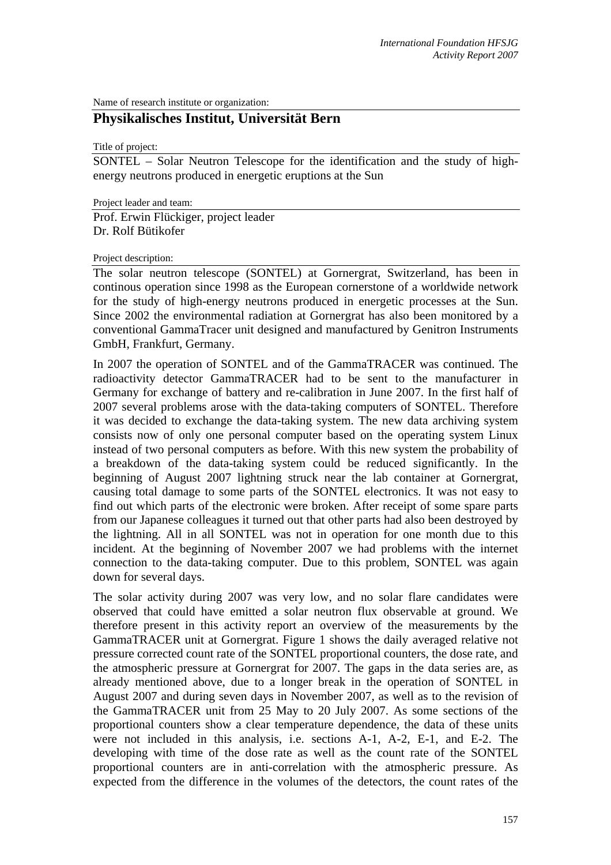Name of research institute or organization:

# **Physikalisches Institut, Universität Bern**

Title of project:

SONTEL – Solar Neutron Telescope for the identification and the study of highenergy neutrons produced in energetic eruptions at the Sun

Project leader and team:

Prof. Erwin Flückiger, project leader Dr. Rolf Bütikofer

### Project description:

The solar neutron telescope (SONTEL) at Gornergrat, Switzerland, has been in continous operation since 1998 as the European cornerstone of a worldwide network for the study of high-energy neutrons produced in energetic processes at the Sun. Since 2002 the environmental radiation at Gornergrat has also been monitored by a conventional GammaTracer unit designed and manufactured by Genitron Instruments GmbH, Frankfurt, Germany.

In 2007 the operation of SONTEL and of the GammaTRACER was continued. The radioactivity detector GammaTRACER had to be sent to the manufacturer in Germany for exchange of battery and re-calibration in June 2007. In the first half of 2007 several problems arose with the data-taking computers of SONTEL. Therefore it was decided to exchange the data-taking system. The new data archiving system consists now of only one personal computer based on the operating system Linux instead of two personal computers as before. With this new system the probability of a breakdown of the data-taking system could be reduced significantly. In the beginning of August 2007 lightning struck near the lab container at Gornergrat, causing total damage to some parts of the SONTEL electronics. It was not easy to find out which parts of the electronic were broken. After receipt of some spare parts from our Japanese colleagues it turned out that other parts had also been destroyed by the lightning. All in all SONTEL was not in operation for one month due to this incident. At the beginning of November 2007 we had problems with the internet connection to the data-taking computer. Due to this problem, SONTEL was again down for several days.

The solar activity during 2007 was very low, and no solar flare candidates were observed that could have emitted a solar neutron flux observable at ground. We therefore present in this activity report an overview of the measurements by the GammaTRACER unit at Gornergrat. Figure 1 shows the daily averaged relative not pressure corrected count rate of the SONTEL proportional counters, the dose rate, and the atmospheric pressure at Gornergrat for 2007. The gaps in the data series are, as already mentioned above, due to a longer break in the operation of SONTEL in August 2007 and during seven days in November 2007, as well as to the revision of the GammaTRACER unit from 25 May to 20 July 2007. As some sections of the proportional counters show a clear temperature dependence, the data of these units were not included in this analysis, i.e. sections A-1, A-2, E-1, and E-2. The developing with time of the dose rate as well as the count rate of the SONTEL proportional counters are in anti-correlation with the atmospheric pressure. As expected from the difference in the volumes of the detectors, the count rates of the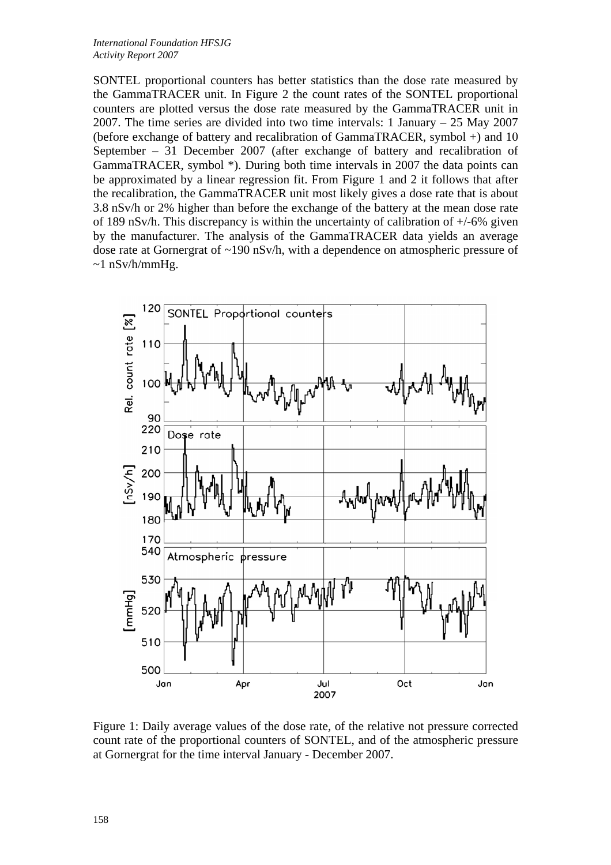SONTEL proportional counters has better statistics than the dose rate measured by the GammaTRACER unit. In Figure 2 the count rates of the SONTEL proportional counters are plotted versus the dose rate measured by the GammaTRACER unit in 2007. The time series are divided into two time intervals: 1 January – 25 May 2007 (before exchange of battery and recalibration of GammaTRACER, symbol +) and 10 September – 31 December 2007 (after exchange of battery and recalibration of GammaTRACER, symbol \*). During both time intervals in 2007 the data points can be approximated by a linear regression fit. From Figure 1 and 2 it follows that after the recalibration, the GammaTRACER unit most likely gives a dose rate that is about 3.8 nSv/h or 2% higher than before the exchange of the battery at the mean dose rate of 189 nSv/h. This discrepancy is within the uncertainty of calibration of +/-6% given by the manufacturer. The analysis of the GammaTRACER data yields an average dose rate at Gornergrat of  $\sim$ 190 nSv/h, with a dependence on atmospheric pressure of  $\sim$ 1 nSv/h/mmHg.



Figure 1: Daily average values of the dose rate, of the relative not pressure corrected count rate of the proportional counters of SONTEL, and of the atmospheric pressure at Gornergrat for the time interval January - December 2007.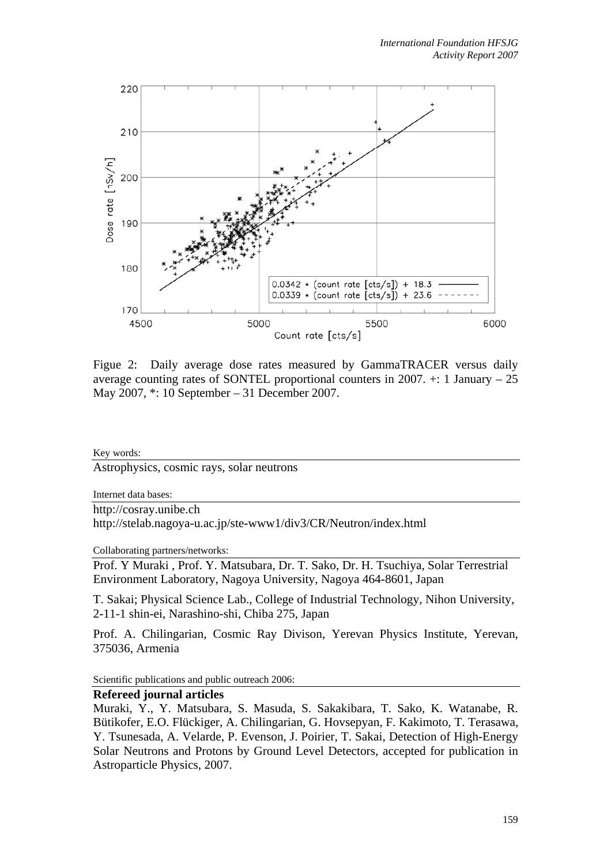

Figue 2: Daily average dose rates measured by GammaTRACER versus daily average counting rates of SONTEL proportional counters in 2007.  $\pm$ : 1 January – 25 May 2007, \*: 10 September – 31 December 2007.

Key words:

Astrophysics, cosmic rays, solar neutrons

Internet data bases:

http://cosray.unibe.ch

http://stelab.nagoya-u.ac.jp/ste-www1/div3/CR/Neutron/index.html

Collaborating partners/networks:

Prof. Y Muraki , Prof. Y. Matsubara, Dr. T. Sako, Dr. H. Tsuchiya, Solar Terrestrial Environment Laboratory, Nagoya University, Nagoya 464-8601, Japan

T. Sakai; Physical Science Lab., College of Industrial Technology, Nihon University, 2-11-1 shin-ei, Narashino-shi, Chiba 275, Japan

Prof. A. Chilingarian, Cosmic Ray Divison, Yerevan Physics Institute, Yerevan, 375036, Armenia

Scientific publications and public outreach 2006:

### **Refereed journal articles**

Muraki, Y., Y. Matsubara, S. Masuda, S. Sakakibara, T. Sako, K. Watanabe, R. Bütikofer, E.O. Flückiger, A. Chilingarian, G. Hovsepyan, F. Kakimoto, T. Terasawa, Y. Tsunesada, A. Velarde, P. Evenson, J. Poirier, T. Sakai, Detection of High-Energy Solar Neutrons and Protons by Ground Level Detectors, accepted for publication in Astroparticle Physics, 2007.